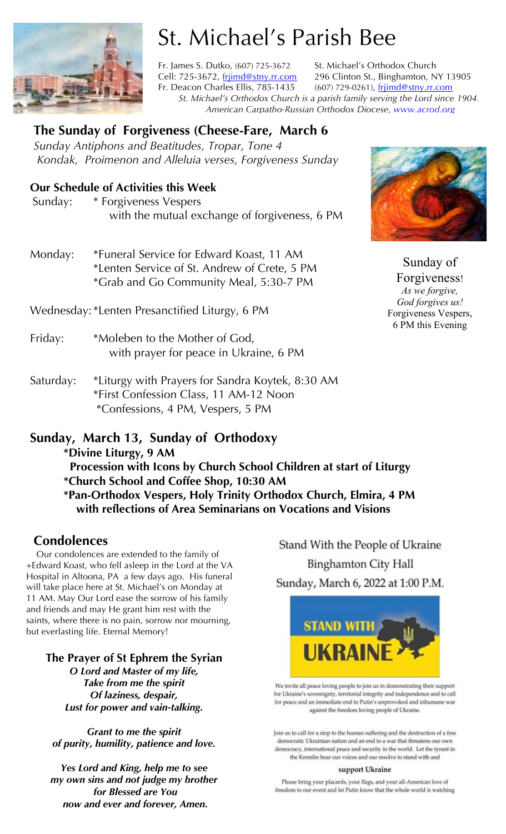

# St. Michael's Parish Bee

Fr. James S. Dutko, (607) 725-3672 St. Michael's Orthodox Church Cell: 725-3672, frijimd@stny.rr.com 296 Clinton St., Binghamton, NY 13905 Fr. Deacon Charles Ellis, 785-1435 (607) 729-0261), frjimd@stny.rr.com *St. Michael's Orthodox Church is a parish family serving the Lord since 1904. American Carpatho-Russian Orthodox Diocese, www.acrod.org*

#### **The Sunday of Forgiveness (Cheese-Fare, March 6**

*Sunday Antiphons and Beatitudes, Tropar, Tone 4 Kondak, Proimenon and Alleluia verses, Forgiveness Sunday* 

#### **Our Schedule of Activities this Week**

Sunday: \* Forgiveness Vespers with the mutual exchange of forgiveness, 6 PM

Monday: \*Funeral Service for Edward Koast, 11 AM \*Lenten Service of St. Andrew of Crete, 5 PM \*Grab and Go Community Meal, 5:30-7 PM

Wednesday: \*Lenten Presanctified Liturgy, 6 PM

- Friday: \*Moleben to the Mother of God, with prayer for peace in Ukraine, 6 PM
- Saturday: \*Liturgy with Prayers for Sandra Koytek, 8:30 AM \*First Confession Class, 11 AM-12 Noon \*Confessions, 4 PM, Vespers, 5 PM

### **Sunday, March 13, Sunday of Orthodoxy**

**\*Divine Liturgy, 9 AM**

- **Procession with Icons by Church School Children at start of Liturgy**
- **\*Church School and Coffee Shop, 10:30 AM**
- **\*Pan-Orthodox Vespers, Holy Trinity Orthodox Church, Elmira, 4 PM with reflections of Area Seminarians on Vocations and Visions**

#### **Condolences**

Our condolences are extended to the family of +Edward Koast, who fell asleep in the Lord at the VA Hospital in Altoona, PA a few days ago. His funeral will take place here at St. Michael's on Monday at 11 AM. May Our Lord ease the sorrow of his family and friends and may He grant him rest with the saints, where there is no pain, sorrow nor mourning, but everlasting life. Eternal Memory!

**The Prayer of St Ephrem the Syrian**

*O Lord and Master of my life, Take from me the spirit Of laziness, despair, Lust for power and vain-talking.*

*Grant to me the spirit of purity, humility, patience and love.*

*Yes Lord and King, help me to see my own sins and not judge my brother for Blessed are You now and ever and forever, Amen.*

Stand With the People of Ukraine **Binghamton City Hall** Sunday, March 6, 2022 at 1:00 P.M.



We invite all peace loving people to join us in demonstrating their support for Ukraine's sovereignty, territorial integrity and independence and to call for peace and an immediate end to Putin's unprovoked and inhumane war against the freedom loving people of Ukraine.

Join us to call for a stop to the human suffering and the destruction of a free democratic Ukrainian nation and an end to a war that threatens our own democracy, international peace and security in the world. Let the tyrant in the Kremlin hear our voices and our resolve to stand with and

#### support Ukraine

Please bring your placards, your flags, and your all-American love of freedom to our event and let Putin know that the whole world is watching



Sunday of Forgiveness! *As we forgive, God forgives us!* Forgiveness Vespers, 6 PM this Evening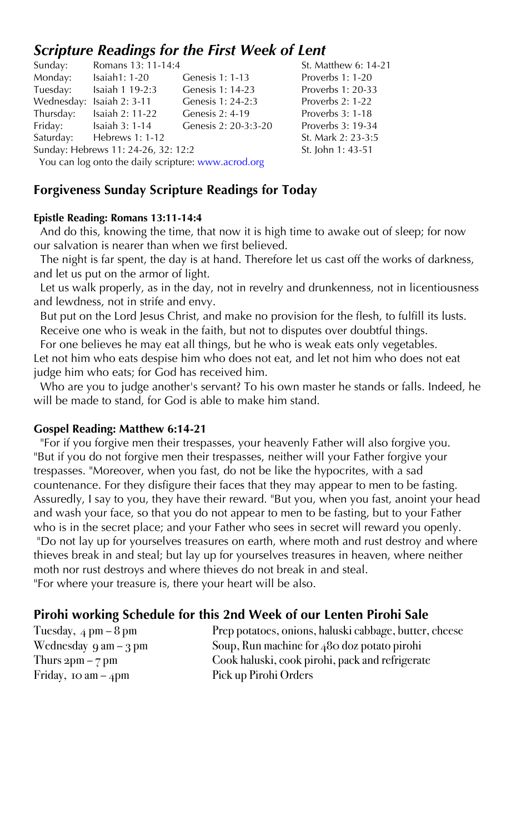## *Scripture Readings for the First Week of Lent*

| Sunday:    | Romans 13: 11-14:4                  |                                                     | St. Matthew 6: 14-21 |
|------------|-------------------------------------|-----------------------------------------------------|----------------------|
| Monday:    | Isaiah1: 1-20                       | Genesis 1: 1-13                                     | Proverbs 1: 1-20     |
| Tuesday:   | Isaiah 1 19-2:3                     | Genesis 1: 14-23                                    | Proverbs 1: 20-33    |
| Wednesday: | Isaiah 2: 3-11                      | Genesis 1: 24-2:3                                   | Proverbs 2: 1-22     |
| Thursday:  | Isaiah 2: 11-22                     | Genesis 2: 4-19                                     | Proverbs 3: 1-18     |
|            | Friday: Isaiah 3: 1-14              | Genesis 2: 20-3:3-20                                | Proverbs 3: 19-34    |
| Saturday:  | Hebrews 1: 1-12                     |                                                     | St. Mark 2: 23-3:5   |
|            | Sunday: Hebrews 11: 24-26, 32: 12:2 | St. John 1: 43-51                                   |                      |
|            |                                     | You can log onto the daily scripture: www.acrod.org |                      |

#### **Forgiveness Sunday Scripture Readings for Today**

#### **Epistle Reading: Romans 13:11-14:4**

 And do this, knowing the time, that now it is high time to awake out of sleep; for now our salvation is nearer than when we first believed.

 The night is far spent, the day is at hand. Therefore let us cast off the works of darkness, and let us put on the armor of light.

 Let us walk properly, as in the day, not in revelry and drunkenness, not in licentiousness and lewdness, not in strife and envy.

 But put on the Lord Jesus Christ, and make no provision for the flesh, to fulfill its lusts. Receive one who is weak in the faith, but not to disputes over doubtful things.

For one believes he may eat all things, but he who is weak eats only vegetables.

Let not him who eats despise him who does not eat, and let not him who does not eat judge him who eats; for God has received him.

 Who are you to judge another's servant? To his own master he stands or falls. Indeed, he will be made to stand, for God is able to make him stand.

#### **Gospel Reading: Matthew 6:14-21**

 "For if you forgive men their trespasses, your heavenly Father will also forgive you. "But if you do not forgive men their trespasses, neither will your Father forgive your trespasses. "Moreover, when you fast, do not be like the hypocrites, with a sad countenance. For they disfigure their faces that they may appear to men to be fasting. Assuredly, I say to you, they have their reward. "But you, when you fast, anoint your head and wash your face, so that you do not appear to men to be fasting, but to your Father who is in the secret place; and your Father who sees in secret will reward you openly. "Do not lay up for yourselves treasures on earth, where moth and rust destroy and where thieves break in and steal; but lay up for yourselves treasures in heaven, where neither moth nor rust destroys and where thieves do not break in and steal. "For where your treasure is, there your heart will be also.

#### **Pirohi working Schedule for this 2nd Week of our Lenten Pirohi Sale**

Friday, 10 am – 4pm Pick up Pirohi Orders

Tuesday, 4 pm – 8 pm Prep potatoes, onions, haluski cabbage, butter, cheese Wednesday  $9 \text{ am} - 3 \text{ pm}$  Soup, Run machine for  $480 \text{ doz}$  potato pirohi Thurs 2pm – 7 pm Cook haluski, cook pirohi, pack and refrigerate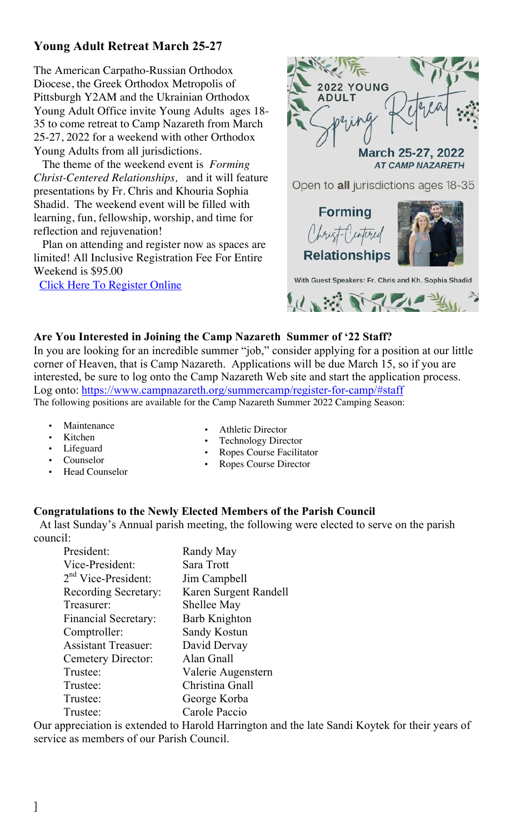#### **Young Adult Retreat March 25-27**

The American Carpatho-Russian Orthodox Diocese, the Greek Orthodox Metropolis of Pittsburgh Y2AM and the Ukrainian Orthodox Young Adult Office invite Young Adults ages 18- 35 to come retreat to Camp Nazareth from March 25-27, 2022 for a weekend with other Orthodox Young Adults from all jurisdictions.

 The theme of the weekend event is *Forming Christ-Centered Relationships,* and it will feature presentations by Fr. Chris and Khouria Sophia Shadid. The weekend event will be filled with learning, fun, fellowship, worship, and time for reflection and rejuvenation!

 Plan on attending and register now as spaces are limited! All Inclusive Registration Fee For Entire Weekend is \$95.00

Click Here To Register Online



Open to all jurisdictions ages 18-35





With Guest Speakers: Fr. Chris and Kh. Sophia Shadid



In you are looking for an incredible summer "job," consider applying for a position at our little corner of Heaven, that is Camp Nazareth. Applications will be due March 15, so if you are interested, be sure to log onto the Camp Nazareth Web site and start the application process. Log onto: https://www.campnazareth.org/summercamp/register-for-camp/#staff The following positions are available for the Camp Nazareth Summer 2022 Camping Season:

- **Maintenance**
- Kitchen
- **Lifeguard**
- Counselor
- Head Counselor
- Athletic Director
- Technology Director
- Ropes Course Facilitator
- Ropes Course Director

#### **Congratulations to the Newly Elected Members of the Parish Council**

 At last Sunday's Annual parish meeting, the following were elected to serve on the parish council:

| President:                  | Randy May             |
|-----------------------------|-----------------------|
| Vice-President:             | Sara Trott            |
| $2nd$ Vice-President:       | Jim Campbell          |
| <b>Recording Secretary:</b> | Karen Surgent Randell |
| Treasurer:                  | Shellee May           |
| <b>Financial Secretary:</b> | <b>Barb Knighton</b>  |
| Comptroller:                | <b>Sandy Kostun</b>   |
| <b>Assistant Treasuer:</b>  | David Dervay          |
| Cemetery Director:          | Alan Gnall            |
| Trustee:                    | Valerie Augenstern    |
| Trustee:                    | Christina Gnall       |
| Trustee:                    | George Korba          |
| Trustee:                    | Carole Paccio         |

Our appreciation is extended to Harold Harrington and the late Sandi Koytek for their years of service as members of our Parish Council.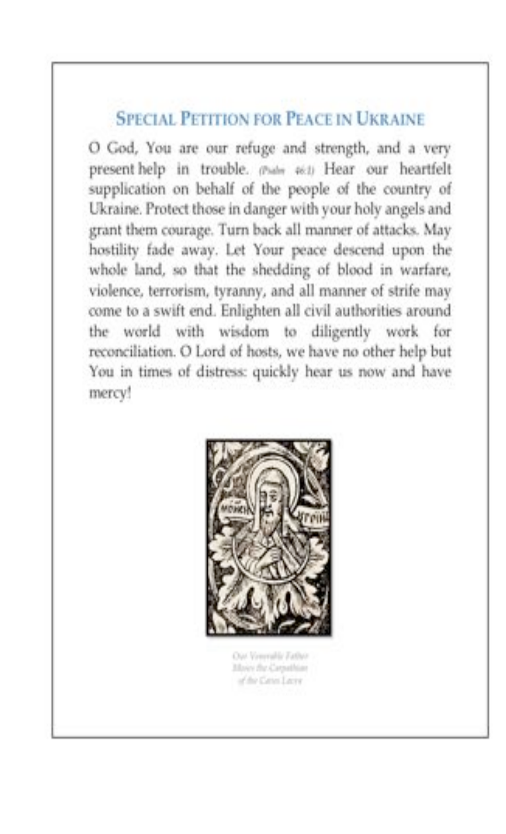# **SPECIAL PETITION FOR PEACE IN UKRAINE**

O God, You are our refuge and strength, and a very present help in trouble. (Pulm 46.1) Hear our heartfelt supplication on behalf of the people of the country of Ukraine. Protect those in danger with your holy angels and grant them courage. Turn back all manner of attacks. May hostility fade away. Let Your peace descend upon the whole land, so that the shedding of blood in warfare, violence, terrorism, tyranny, and all manner of strife may come to a swift end. Enlighten all civil authorities around the world with wisdom to diligently work for reconciliation. O Lord of hosts, we have no other help but You in times of distress: quickly hear us now and have mercy!



Out Vereralis Tallus Move the Carpellian of the Cates Lacry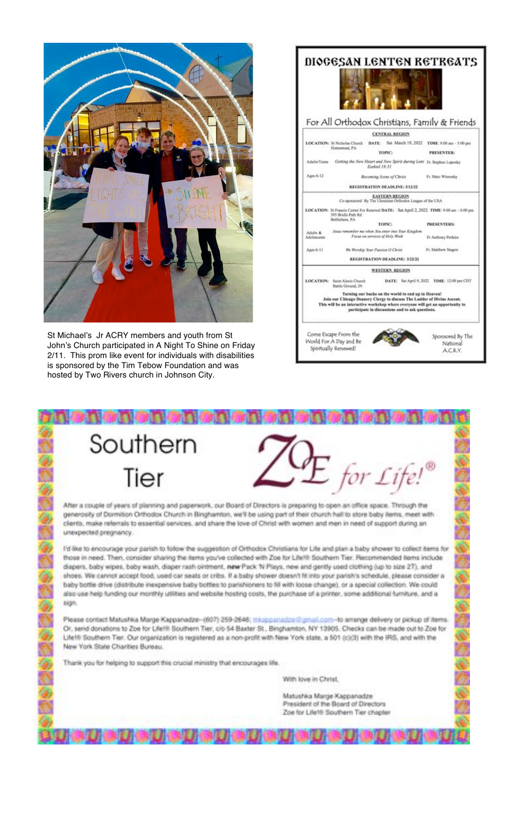

St Michael's Jr ACRY members and youth from St John's Church participated in A Night To Shine on Friday 2/11. This prom like event for individuals with disabilities is sponsored by the Tim Tebow Foundation and was hosted by Two Rivers church in Johnson City.

|                         |                                                                                      |              |                                                                                                                                                                                    | DIOGESAN LENTEN RETREATS<br>For All Orthodox Christians, Family & Friends               |
|-------------------------|--------------------------------------------------------------------------------------|--------------|------------------------------------------------------------------------------------------------------------------------------------------------------------------------------------|-----------------------------------------------------------------------------------------|
|                         |                                                                                      |              | <b>CENTRAL REGION</b>                                                                                                                                                              |                                                                                         |
|                         | LOCATION: St Nicholas Church                                                         | DATE:        | Sat March 19, 2022                                                                                                                                                                 | TIME: 9:00 am - 5:00 pm                                                                 |
|                         | Homestead, PA                                                                        |              | TOPIC:                                                                                                                                                                             | PRESENTER:                                                                              |
| Adabs/Torm              |                                                                                      | Exclud 18:31 | Getting the New Heart and New Spirit during Len! Fr. Stephen Loposky                                                                                                               |                                                                                         |
| Ages 6-12               |                                                                                      |              | Becoming Icons of Christ                                                                                                                                                           | Fr. Marc Wisnosky                                                                       |
|                         |                                                                                      |              | REGISTRATION DEADLINE: 3/12/22                                                                                                                                                     |                                                                                         |
|                         | 395 Bridle Path Rd<br>Bethlehem, PA                                                  |              | Co-sponsored By The Ukrainian Orthodox League of the USA                                                                                                                           | LOCATION: St Francis Center For Renewal DATE: Sat Agril 2, 2022 TIME: 9:00 am - 6:00 pm |
|                         |                                                                                      |              | TOPIC:                                                                                                                                                                             | PRESENTERS:                                                                             |
| Adults &<br>Adolescents | Jesus remember me when You enter into Your Kingdom<br>Focus on services of Holy Week |              |                                                                                                                                                                                    | Fr Anthony Perkins                                                                      |
| Ages 6-11               |                                                                                      |              | We Worship Your Patrion O Christ                                                                                                                                                   | Fr. Matthew Stagon                                                                      |
|                         |                                                                                      |              | REGISTRATION DEADLINE: 3/22/22                                                                                                                                                     |                                                                                         |
|                         |                                                                                      |              | <b>WESTERN REGION</b>                                                                                                                                                              |                                                                                         |
|                         | LOCATION: Saint Alexis Church<br>Battle Ground, IN                                   |              |                                                                                                                                                                                    | DATE: Sat April 9, 2022 TIME: 12:00 pm CDT                                              |
|                         |                                                                                      |              | Turning our backs on the world to end up in Heaven!<br>Join our Chicago Deanery Clergy to discuss The Ladder of Divine Ascent.<br>participate in discussions and to ask questions. | This will be an interactive workshop where everyone will get an opportunity to          |
|                         |                                                                                      |              |                                                                                                                                                                                    |                                                                                         |
|                         | Come Escape From the<br>World For A Day and Be<br>Spiritually Renewed!               |              |                                                                                                                                                                                    | Sponsored By The<br>National<br>A.C.R.Y.                                                |



those in need. Then, consider sharing the items you've collected with Zoe for Life!® Southern Tier. Recommended items include diapers, baby wipes, baby wash, diaper rash cintment, new Pack 'N Plays, new and gently used clothing (up to size 2T), and shoes. We cannot accept food, used car seats or cribs. If a baby shower doesn't fit into your parish's schedule, please consider a baby bottle drive (distribute inexpensive baby bottles to parishioners to fill with loose change), or a special collection. We could also use help funding our monthly utilities and website hosting costs, the purchase of a printer, some additional furniture, and a sign.

Please contact Matushka Marge Kappanadze-(607) 259-2646; miuppanadze ili gmail.com-4o amange delivery or pickup of items. Or, send donations to Zoe for Life!9 Southern Tier, c/o 54 Baxter St., Binghamton, NY 13905. Checks can be made out to Zoe for Lifef® Southern Tier. Our organization is registered as a non-profit with New York state, a 501 (c)(3) with the IRS, and with the New York State Charities Bureau.

Thank you for helping to support this crucial ministry that encourages life.

With love in Christ.

Matushka Marge Kappanadze President of the Board of Directors Zoe for Life18 Southern Tier chapter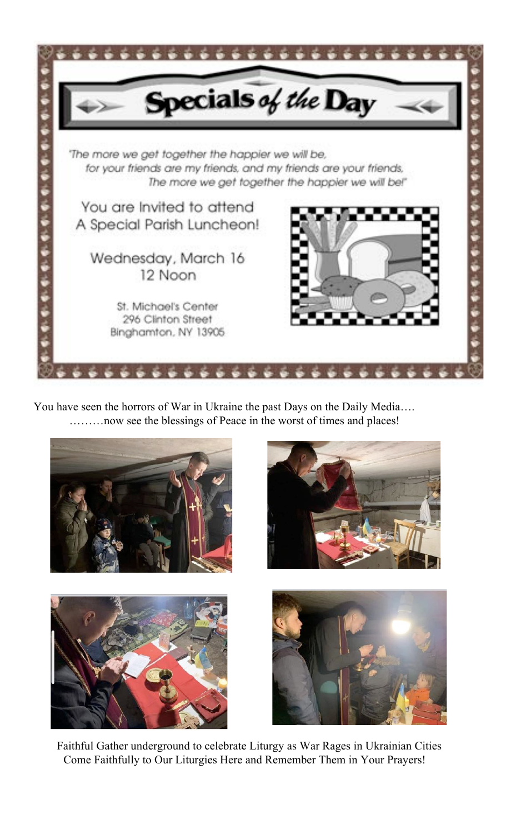

You have seen the horrors of War in Ukraine the past Days on the Daily Media…. ………now see the blessings of Peace in the worst of times and places!









 Faithful Gather underground to celebrate Liturgy as War Rages in Ukrainian Cities Come Faithfully to Our Liturgies Here and Remember Them in Your Prayers!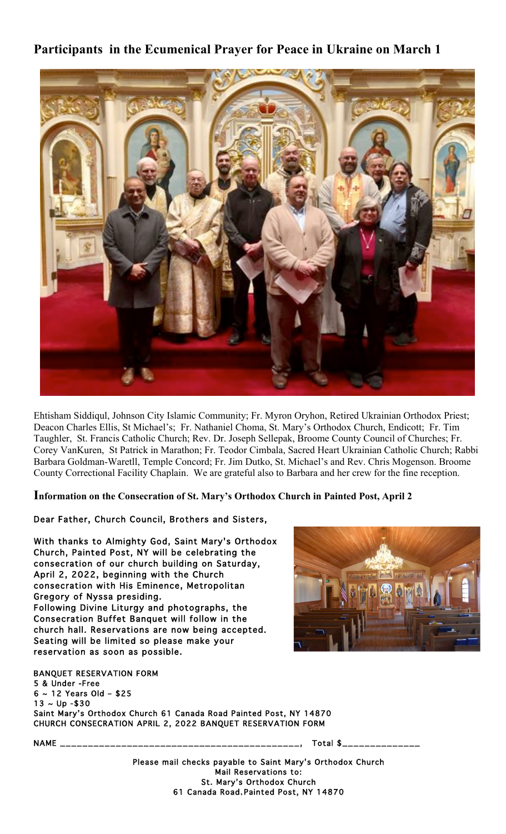#### **Participants in the Ecumenical Prayer for Peace in Ukraine on March 1**



Ehtisham Siddiqul, Johnson City Islamic Community; Fr. Myron Oryhon, Retired Ukrainian Orthodox Priest; Deacon Charles Ellis, St Michael's; Fr. Nathaniel Choma, St. Mary's Orthodox Church, Endicott; Fr. Tim Taughler, St. Francis Catholic Church; Rev. Dr. Joseph Sellepak, Broome County Council of Churches; Fr. Corey VanKuren, St Patrick in Marathon; Fr. Teodor Cimbala, Sacred Heart Ukrainian Catholic Church; Rabbi Barbara Goldman-Waretll, Temple Concord; Fr. Jim Dutko, St. Michael's and Rev. Chris Mogenson. Broome County Correctional Facility Chaplain. We are grateful also to Barbara and her crew for the fine reception.

**Information on the Consecration of St. Mary's Orthodox Church in Painted Post, April 2**

Dear Father, Church Council, Brothers and Sisters,

With thanks to Almighty God, Saint Mary's Orthodox Church, Painted Post, NY will be celebrating the consecration of our church building on Saturday, April 2, 2022, beginning with the Church consecration with His Eminence, Metropolitan Gregory of Nyssa presiding. Following Divine Liturgy and photographs, the Consecration Buffet Banquet will follow in the church hall. Reservations are now being accepted. Seating will be limited so please make your reservation as soon as possible.



BANQUET RESERVATION FORM 5 & Under -Free 6 ~ 12 Years Old – \$25  $13 \sim Up - $30$ Saint Mary's Orthodox Church 61 Canada Road Painted Post, NY 14870 CHURCH CONSECRATION APRIL 2, 2022 BANQUET RESERVATION FORM

NAME \_\_\_\_\_\_\_\_\_\_\_\_\_\_\_\_\_\_\_\_\_\_\_\_\_\_\_\_\_\_\_\_\_\_\_\_\_\_\_\_\_\_\_, Total \$\_\_\_\_\_\_\_\_\_\_\_\_\_\_

Please mail checks payable to Saint Mary's Orthodox Church

Mail Reservations to: St. Mary's Orthodox Church 61 Canada Road**,** Painted Post, NY 14870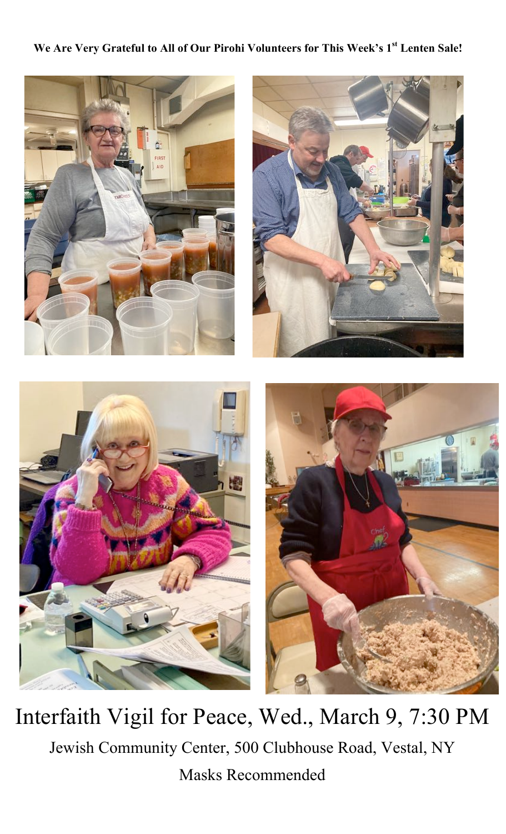#### **We Are Very Grateful to All of Our Pirohi Volunteers for This Week's 1st Lenten Sale!**







Interfaith Vigil for Peace, Wed., March 9, 7:30 PM Jewish Community Center, 500 Clubhouse Road, Vestal, NY Masks Recommended